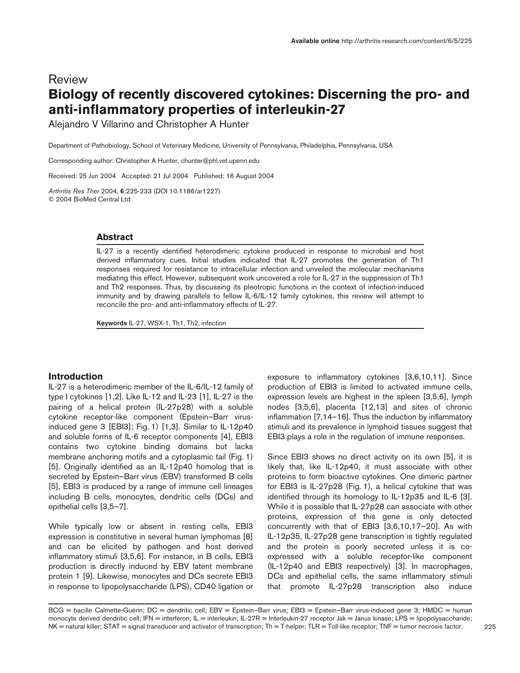# Review **Biology of recently discovered cytokines: Discerning the pro- and anti-inflammatory properties of interleukin-27**

Alejandro V Villarino and Christopher A Hunter

Department of Pathobiology, School of Veterinary Medicine, University of Pennsylvania, Philadelphia, Pennsylvania, USA

Corresponding author: Christopher A Hunter, chunter@phl.vet.upenn.edu

Received: 25 Jun 2004 Accepted: 21 Jul 2004 Published: 16 August 2004

*Arthritis Res Ther* 2004, **6**:225-233 (DOI 10.1186/ar1227) © 2004 BioMed Central Ltd

#### **Abstract**

IL-27 is a recently identified heterodimeric cytokine produced in response to microbial and host derived inflammatory cues. Initial studies indicated that IL-27 promotes the generation of Th1 responses required for resistance to intracellular infection and unveiled the molecular mechanisms mediating this effect. However, subsequent work uncovered a role for IL-27 in the suppression of Th1 and Th2 responses. Thus, by discussing its pleotropic functions in the context of infection-induced immunity and by drawing parallels to fellow IL-6/IL-12 family cytokines, this review will attempt to reconcile the pro- and anti-inflammatory effects of IL-27.

**Keywords** IL-27, WSX-1, Th1, Th2, infection

# **Introduction**

IL-27 is a heterodimeric member of the IL-6/IL-12 family of type I cytokines [1,2]. Like IL-12 and IL-23 [1], IL-27 is the pairing of a helical protein (IL-27p28) with a soluble cytokine receptor-like component (Epstein–Barr virusinduced gene 3 [EBI3]; Fig. 1) [1,3]. Similar to IL-12p40 and soluble forms of IL-6 receptor components [4], EBI3 contains two cytokine binding domains but lacks membrane anchoring motifs and a cytoplasmic tail (Fig. 1) [5]. Originally identified as an IL-12p40 homolog that is secreted by Epstein–Barr virus (EBV) transformed B cells [5], EBI3 is produced by a range of immune cell lineages including B cells, monocytes, dendritic cells (DCs) and epithelial cells [3,5–7].

While typically low or absent in resting cells, EBI3 expression is constitutive in several human lymphomas [8] and can be elicited by pathogen and host derived inflammatory stimuli [3,5,6]. For instance, in B cells, EBI3 production is directly induced by EBV latent membrane protein 1 [9]. Likewise, monocytes and DCs secrete EBI3 in response to lipopolysaccharide (LPS), CD40 ligation or exposure to inflammatory cytokines [3,6,10,11]. Since production of EBI3 is limited to activated immune cells, expression levels are highest in the spleen [3,5,6], lymph nodes [3,5,6], placenta [12,13] and sites of chronic inflammation [7,14–16]. Thus the induction by inflammatory stimuli and its prevalence in lymphoid tissues suggest that EBI3 plays a role in the regulation of immune responses.

Since EBI3 shows no direct activity on its own [5], it is likely that, like IL-12p40, it must associate with other proteins to form bioactive cytokines. One dimeric partner for EBI3 is IL-27p28 (Fig. 1), a helical cytokine that was identified through its homology to IL-12p35 and IL-6 [3]. While it is possible that IL-27p28 can associate with other proteins, expression of this gene is only detected concurrently with that of EBI3 [3,6,10,17–20]. As with IL-12p35, IL-27p28 gene transcription is tightly regulated and the protein is poorly secreted unless it is coexpressed with a soluble receptor-like component (IL-12p40 and EBI3 respectively) [3]. In macrophages, DCs and epithelial cells, the same inflammatory stimuli that promote IL-27p28 transcription also induce

BCG = bacille Calmette-Guérin; DC = dendritic cell; EBV = Epstein–Barr virus; EBI3 = Epstein–Barr virus-induced gene 3; HMDC = human monocyte derived dendritic cell; IFN = interferon; IL = interleukin; IL-27R = Interleukin-27 receptor Jak = Janus kinase; LPS = lipopolysaccharide;  $NK$  = natural killer; STAT = signal transducer and activator of transcription;  $Th = T$ -helper;  $TLR = T$ oll-like receptor;  $TNF =$  tumor necrosis factor.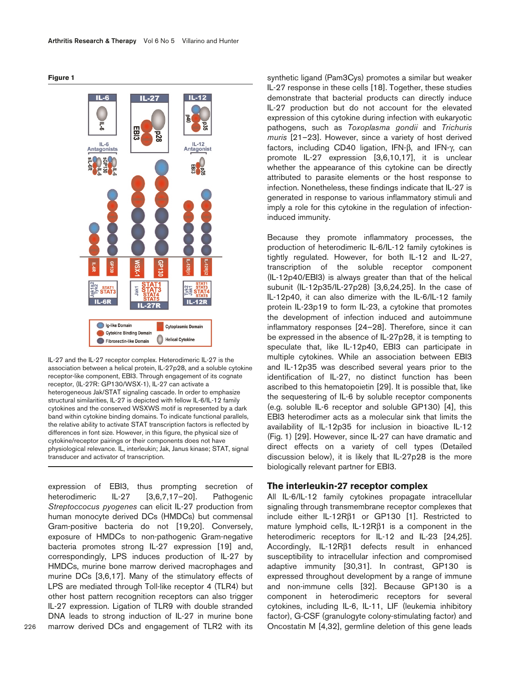**Figure 1**



IL-27 and the IL-27 receptor complex. Heterodimeric IL-27 is the association between a helical protein, IL-27p28, and a soluble cytokine receptor-like component, EBI3. Through engagement of its cognate receptor, (IL-27R: GP130/WSX-1), IL-27 can activate a heterogeneous Jak/STAT signaling cascade. In order to emphasize structural similarities, IL-27 is depicted with fellow IL-6/IL-12 family cytokines and the conserved WSXWS motif is represented by a dark band within cytokine binding domains. To indicate functional parallels, the relative ability to activate STAT transcription factors is reflected by differences in font size. However, in this figure, the physical size of cytokine/receptor pairings or their components does not have physiological relevance. IL, interleukin; Jak, Janus kinase; STAT, signal transducer and activator of transcription.

expression of EBI3, thus prompting secretion of heterodimeric IL-27 [3,6,7,17–20]. Pathogenic *Streptoccocus pyogenes* can elicit IL-27 production from human monocyte derived DCs (HMDCs) but commensal Gram-positive bacteria do not [19,20]. Conversely, exposure of HMDCs to non-pathogenic Gram-negative bacteria promotes strong IL-27 expression [19] and, correspondingly, LPS induces production of IL-27 by HMDCs, murine bone marrow derived macrophages and murine DCs [3,6,17]. Many of the stimulatory effects of LPS are mediated through Toll-like receptor 4 (TLR4) but other host pattern recognition receptors can also trigger IL-27 expression. Ligation of TLR9 with double stranded DNA leads to strong induction of IL-27 in murine bone marrow derived DCs and engagement of TLR2 with its

synthetic ligand (Pam3Cys) promotes a similar but weaker IL-27 response in these cells [18]. Together, these studies demonstrate that bacterial products can directly induce IL-27 production but do not account for the elevated expression of this cytokine during infection with eukaryotic pathogens, such as *Toxoplasma gondii* and *Trichuris muris* [21–23]. However, since a variety of host derived factors, including CD40 ligation, IFN-β, and IFN-γ, can promote IL-27 expression [3,6,10,17], it is unclear whether the appearance of this cytokine can be directly attributed to parasite elements or the host response to infection. Nonetheless, these findings indicate that IL-27 is generated in response to various inflammatory stimuli and imply a role for this cytokine in the regulation of infectioninduced immunity.

Because they promote inflammatory processes, the production of heterodimeric IL-6/IL-12 family cytokines is tightly regulated. However, for both IL-12 and IL-27, transcription of the soluble receptor component (IL-12p40/EBI3) is always greater than that of the helical subunit (IL-12p35/IL-27p28) [3,6,24,25]. In the case of IL-12p40, it can also dimerize with the IL-6/IL-12 family protein IL-23p19 to form IL-23, a cytokine that promotes the development of infection induced and autoimmune inflammatory responses [24–28]. Therefore, since it can be expressed in the absence of IL-27p28, it is tempting to speculate that, like IL-12p40, EBI3 can participate in multiple cytokines. While an association between EBI3 and IL-12p35 was described several years prior to the identification of IL-27, no distinct function has been ascribed to this hematopoietin [29]. It is possible that, like the sequestering of IL-6 by soluble receptor components (e.g. soluble IL-6 receptor and soluble GP130) [4], this EBI3 heterodimer acts as a molecular sink that limits the availability of IL-12p35 for inclusion in bioactive IL-12 (Fig. 1) [29]. However, since IL-27 can have dramatic and direct effects on a variety of cell types (Detailed discussion below), it is likely that IL-27p28 is the more biologically relevant partner for EBI3.

#### **The interleukin-27 receptor complex**

All IL-6/IL-12 family cytokines propagate intracellular signaling through transmembrane receptor complexes that include either IL-12Rβ1 or GP130 [1]. Restricted to mature lymphoid cells, IL-12Rβ1 is a component in the heterodimeric receptors for IL-12 and IL-23 [24,25]. Accordingly, IL-12Rβ1 defects result in enhanced susceptibility to intracellular infection and compromised adaptive immunity [30,31]. In contrast, GP130 is expressed throughout development by a range of immune and non-immune cells [32]. Because GP130 is a component in heterodimeric receptors for several cytokines, including IL-6, IL-11, LIF (leukemia inhibitory factor), G-CSF (granulogyte colony-stimulating factor) and Oncostatin M [4,32], germline deletion of this gene leads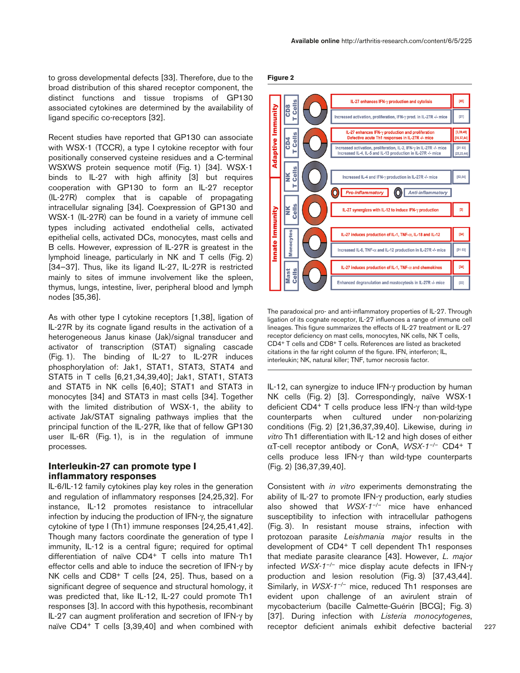to gross developmental defects [33]. Therefore, due to the broad distribution of this shared receptor component, the distinct functions and tissue tropisms of GP130 associated cytokines are determined by the availability of ligand specific co-receptors [32].

Recent studies have reported that GP130 can associate with WSX-1 (TCCR), a type I cytokine receptor with four positionally conserved cysteine residues and a C-terminal WSXWS protein sequence motif (Fig. 1) [34]. WSX-1 binds to IL-27 with high affinity [3] but requires cooperation with GP130 to form an IL-27 receptor (IL-27R) complex that is capable of propagating intracellular signaling [34]. Coexpression of GP130 and WSX-1 (IL-27R) can be found in a variety of immune cell types including activated endothelial cells, activated epithelial cells, activated DCs, monocytes, mast cells and B cells. However, expression of IL-27R is greatest in the lymphoid lineage, particularly in NK and T cells (Fig. 2) [34–37]. Thus, like its ligand IL-27, IL-27R is restricted mainly to sites of immune involvement like the spleen, thymus, lungs, intestine, liver, peripheral blood and lymph nodes [35,36].

As with other type I cytokine receptors [1,38], ligation of IL-27R by its cognate ligand results in the activation of a heterogeneous Janus kinase (Jak)/signal transducer and activator of transcription (STAT) signaling cascade (Fig. 1). The binding of IL-27 to IL-27R induces phosphorylation of: Jak1, STAT1, STAT3, STAT4 and STAT5 in T cells [6,21,34,39,40]; Jak1, STAT1, STAT3 and STAT5 in NK cells [6,40]; STAT1 and STAT3 in monocytes [34] and STAT3 in mast cells [34]. Together with the limited distribution of WSX-1, the ability to activate Jak/STAT signaling pathways implies that the principal function of the IL-27R, like that of fellow GP130 user IL-6R (Fig. 1), is in the regulation of immune processes.

## **Interleukin-27 can promote type I inflammatory responses**

IL-6/IL-12 family cytokines play key roles in the generation and regulation of inflammatory responses [24,25,32]. For instance, IL-12 promotes resistance to intracellular infection by inducing the production of IFN-γ, the signature cytokine of type I (Th1) immune responses [24,25,41,42]. Though many factors coordinate the generation of type I immunity, IL-12 is a central figure; required for optimal differentiation of naïve CD4+ T cells into mature Th1 effector cells and able to induce the secretion of IFN-γ by NK cells and CD8<sup>+</sup> T cells [24, 25]. Thus, based on a significant degree of sequence and structural homology, it was predicted that, like IL-12, IL-27 could promote Th1 responses [3]. In accord with this hypothesis, recombinant IL-27 can augment proliferation and secretion of IFN-γ by naïve CD4+ T cells [3,39,40] and when combined with





The paradoxical pro- and anti-inflammatory properties of IL-27. Through ligation of its cognate receptor, IL-27 influences a range of immune cell lineages. This figure summarizes the effects of IL-27 treatment or IL-27 receptor deficiency on mast cells, monocytes, NK cells, NK T cells, CD4+ T cells and CD8+ T cells. References are listed as bracketed citations in the far right column of the figure. IFN, interferon; IL, interleukin; NK, natural killer; TNF, tumor necrosis factor.

IL-12, can synergize to induce IFN-γ production by human NK cells (Fig. 2) [3]. Correspondingly, naïve WSX-1 deficient CD4+ T cells produce less IFN-γ than wild-type counterparts when cultured under non-polarizing conditions (Fig. 2) [21,36,37,39,40]. Likewise, during i*n vitro* Th1 differentiation with IL-12 and high doses of either αT-cell receptor antibody or ConA, *WSX-1–/–* CD4+ T cells produce less IFN-γ than wild-type counterparts (Fig. 2) [36,37,39,40].

Consistent with *in vitro* experiments demonstrating the ability of IL-27 to promote IFN-γ production, early studies also showed that *WSX-1–/–* mice have enhanced susceptibility to infection with intracellular pathogens (Fig. 3). In resistant mouse strains, infection with protozoan parasite *Leishmania major* results in the development of CD4+ T cell dependent Th1 responses that mediate parasite clearance [43]. However, *L. major* infected *WSX-1–/–* mice display acute defects in IFN-γ production and lesion resolution (Fig. 3) [37,43,44]. Similarly, in *WSX-1<sup>-/-</sup>* mice, reduced Th1 responses are evident upon challenge of an avirulent strain of mycobacterium (bacille Calmette-Guérin [BCG]; Fig. 3) [37]. During infection with *Listeria monocytogenes*, receptor deficient animals exhibit defective bacterial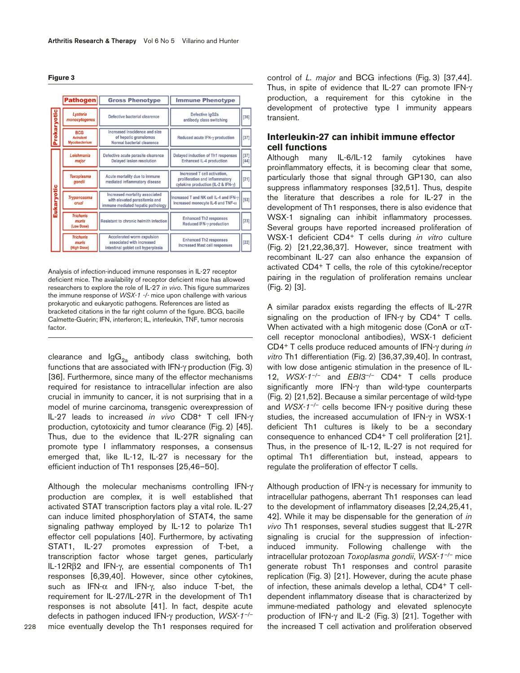| laur |  |
|------|--|
|------|--|

|             | <b>Pathogen</b>                                 | <b>Gross Phenotype</b>                                                                               | <b>Immune Phenotype</b>                                                                              |                |
|-------------|-------------------------------------------------|------------------------------------------------------------------------------------------------------|------------------------------------------------------------------------------------------------------|----------------|
| Prokaryotic | Lysteria<br>monocytogenes                       | Defective bacterial clearence                                                                        | Defective IgG2a<br>antibody class switching                                                          | $[36]$         |
|             | <b>BCG</b><br><b>Avirulent</b><br>Mycobacterium | Increased inscidence and size<br>of hepatic granulomas<br>Normal bacterial clearence                 | Reduced acute IFN-y production                                                                       | $[37]$         |
| Eukaryotic  | Leishmania<br>major                             | Defective acute parasite clearence<br><b>Delayed lesion resolution</b>                               | Delayed induction of Th1 responses<br>Enhanced IL-4 production                                       | $[37]$<br>[44] |
|             | <b>Toxoplasma</b><br>aondii                     | Acute mortality due to immune<br>mediated inflammatory disease                                       | Increased T cell activation.<br>proliferation and inflammatory<br>cytokine production (IL-2 & IFN-y) | $[21]$         |
|             | <b>Trypanosoma</b><br>cruzi                     | Increased mortality associated<br>with elevated parasitemia and<br>immune mediated hepatic pathology | Increased T and NK cell IL-4 and IFN-y<br>Increased monocyte IL-6 and TNF- $\alpha$ .                | $[53]$         |
|             | <b>Trichuris</b><br>muris<br>(Low Dose)         | Resistant to chronic helmith infection                                                               | <b>Enhanced Th2 responses</b><br>Reduced IFN-y production                                            | $[23]$         |
|             | <b>Trichuris</b><br>muris<br>(High Dose)        | Accelerated worm expulsion<br>associated with increased<br>intestinal goblet cell hyperplasia        | <b>Enhanced Th2 responses</b><br><b>Increased Mast cell responses</b>                                | $[22]$         |

Analysis of infection-induced immune responses in IL-27 receptor deficient mice. The availability of receptor deficient mice has allowed researchers to explore the role of IL-27 *in vivo*. This figure summarizes the immune response of *WSX-1 -/-* mice upon challenge with various prokaryotic and eukaryotic pathogens. References are listed as bracketed citations in the far right column of the figure. BCG, bacille Calmette-Guérin; IFN, interferon; IL, interleukin, TNF, tumor necrosis factor.

clearance and  $\text{lgG}_{2a}$  antibody class switching, both functions that are associated with IFN-γ production (Fig. 3) [36]. Furthermore, since many of the effector mechanisms required for resistance to intracellular infection are also crucial in immunity to cancer, it is not surprising that in a model of murine carcinoma, transgenic overexpression of IL-27 leads to increased *in vivo* CD8+ T cell IFN-γ production, cytotoxicity and tumor clearance (Fig. 2) [45]. Thus, due to the evidence that IL-27R signaling can promote type I inflammatory responses, a consensus emerged that, like IL-12, IL-27 is necessary for the efficient induction of Th1 responses [25,46–50].

Although the molecular mechanisms controlling IFN-γ production are complex, it is well established that activated STAT transcription factors play a vital role. IL-27 can induce limited phosphorylation of STAT4, the same signaling pathway employed by IL-12 to polarize Th1 effector cell populations [40]. Furthermore, by activating STAT1, IL-27 promotes expression of T-bet, a transcription factor whose target genes, particularly IL-12Rβ2 and IFN-γ, are essential components of Th1 responses [6,39,40]. However, since other cytokines, such as IFN- $\alpha$  and IFN- $\gamma$ , also induce T-bet, the requirement for IL-27/IL-27R in the development of Th1 responses is not absolute [41]. In fact, despite acute defects in pathogen induced IFN-γ production, *WSX-1–/–* mice eventually develop the Th1 responses required for control of *L. major* and BCG infections (Fig. 3) [37,44]. Thus, in spite of evidence that IL-27 can promote IFN-γ production, a requirement for this cytokine in the development of protective type I immunity appears transient.

## **Interleukin-27 can inhibit immune effector cell functions**

Although many IL-6/IL-12 family cytokines have proinflammatory effects, it is becoming clear that some, particularly those that signal through GP130, can also suppress inflammatory responses [32,51]. Thus, despite the literature that describes a role for IL-27 in the development of Th1 responses, there is also evidence that WSX-1 signaling can inhibit inflammatory processes. Several groups have reported increased proliferation of WSX-1 deficient CD4+ T cells during *in vitro* culture (Fig. 2) [21,22,36,37]. However, since treatment with recombinant IL-27 can also enhance the expansion of activated CD4+ T cells, the role of this cytokine/receptor pairing in the regulation of proliferation remains unclear (Fig. 2) [3].

A similar paradox exists regarding the effects of IL-27R signaling on the production of IFN-γ by CD4+ T cells. When activated with a high mitogenic dose (ConA or  $\alpha$ Tcell receptor monoclonal antibodies), WSX-1 deficient CD4+ T cells produce reduced amounts of IFN-γ during *in vitro* Th1 differentiation (Fig. 2) [36,37,39,40]. In contrast, with low dose antigenic stimulation in the presence of IL-12, *WSX-1–/–* and *EBI3–/–* CD4+ T cells produce significantly more IFN-γ than wild-type counterparts (Fig. 2) [21,52]. Because a similar percentage of wild-type and *WSX-1–/–* cells become IFN-γ positive during these studies, the increased accumulation of IFN-γ in WSX-1 deficient Th1 cultures is likely to be a secondary consequence to enhanced CD4+ T cell proliferation [21]. Thus, in the presence of IL-12, IL-27 is not required for optimal Th1 differentiation but, instead, appears to regulate the proliferation of effector T cells.

Although production of IFN-γ is necessary for immunity to intracellular pathogens, aberrant Th1 responses can lead to the development of inflammatory diseases [2,24,25,41, 42]. While it may be dispensable for the generation of *in vivo* Th1 responses, several studies suggest that IL-27R signaling is crucial for the suppression of infectioninduced immunity. Following challenge with the intracellular protozoan *Toxoplasma gondii*, *WSX-1–/–* mice generate robust Th1 responses and control parasite replication (Fig. 3) [21]. However, during the acute phase of infection, these animals develop a lethal, CD4+ T celldependent inflammatory disease that is characterized by immune-mediated pathology and elevated splenocyte production of IFN-γ and IL-2 (Fig. 3) [21]. Together with the increased T cell activation and proliferation observed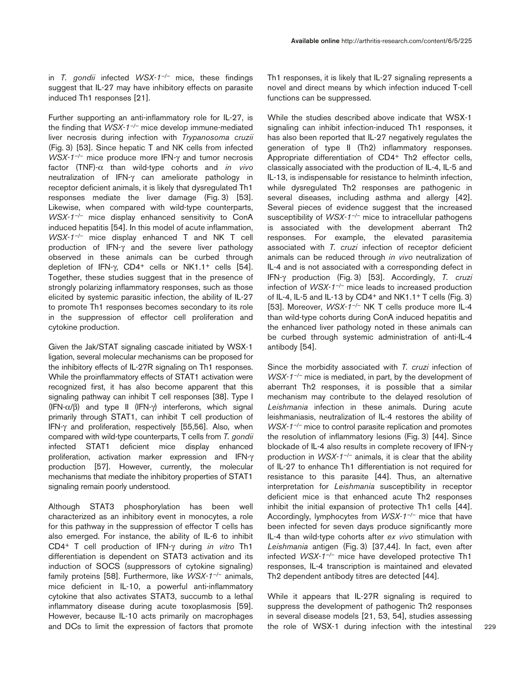in *T. gondii* infected *WSX-1–/–* mice, these findings suggest that IL-27 may have inhibitory effects on parasite induced Th1 responses [21].

Further supporting an anti-inflammatory role for IL-27, is the finding that *WSX-1–/–* mice develop immune-mediated liver necrosis during infection with *Trypanosoma cruzii* (Fig. 3) [53]. Since hepatic T and NK cells from infected *WSX-1–/–* mice produce more IFN-γ and tumor necrosis factor (TNF)-α than wild-type cohorts and *in vivo* neutralization of IFN-γ can ameliorate pathology in receptor deficient animals, it is likely that dysregulated Th1 responses mediate the liver damage (Fig. 3) [53]. Likewise, when compared with wild-type counterparts, *WSX-1–/–* mice display enhanced sensitivity to ConA induced hepatitis [54]. In this model of acute inflammation, *WSX-1–/–* mice display enhanced T and NK T cell production of IFN-γ and the severe liver pathology observed in these animals can be curbed through depletion of IFN-γ, CD4+ cells or NK1.1+ cells [54]. Together, these studies suggest that in the presence of strongly polarizing inflammatory responses, such as those elicited by systemic parasitic infection, the ability of IL-27 to promote Th1 responses becomes secondary to its role in the suppression of effector cell proliferation and cytokine production.

Given the Jak/STAT signaling cascade initiated by WSX-1 ligation, several molecular mechanisms can be proposed for the inhibitory effects of IL-27R signaling on Th1 responses. While the proinflammatory effects of STAT1 activation were recognized first, it has also become apparent that this signaling pathway can inhibit T cell responses [38]. Type I (IFN-α/β) and type II (IFN-γ) interferons, which signal primarily through STAT1, can inhibit T cell production of IFN-γ and proliferation, respectively [55,56]. Also, when compared with wild-type counterparts, T cells from *T. gondii* infected STAT1 deficient mice display enhanced proliferation, activation marker expression and IFN-γ production [57]. However, currently, the molecular mechanisms that mediate the inhibitory properties of STAT1 signaling remain poorly understood.

Although STAT3 phosphorylation has been well characterized as an inhibitory event in monocytes, a role for this pathway in the suppression of effector T cells has also emerged. For instance, the ability of IL-6 to inhibit CD4+ T cell production of IFN-γ during *in vitro* Th1 differentiation is dependent on STAT3 activation and its induction of SOCS (suppressors of cytokine signaling) family proteins [58]. Furthermore, like *WSX-1–/–* animals, mice deficient in IL-10, a powerful anti-inflammatory cytokine that also activates STAT3, succumb to a lethal inflammatory disease during acute toxoplasmosis [59]. However, because IL-10 acts primarily on macrophages and DCs to limit the expression of factors that promote

Th1 responses, it is likely that IL-27 signaling represents a novel and direct means by which infection induced T-cell functions can be suppressed.

While the studies described above indicate that WSX-1 signaling can inhibit infection-induced Th1 responses, it has also been reported that IL-27 negatively regulates the generation of type II (Th2) inflammatory responses. Appropriate differentiation of CD4+ Th2 effector cells, classically associated with the production of IL-4, IL-5 and IL-13, is indispensable for resistance to helminth infection, while dysregulated Th2 responses are pathogenic in several diseases, including asthma and allergy [42]. Several pieces of evidence suggest that the increased susceptibility of *WSX-1–/–* mice to intracellular pathogens is associated with the development aberrant Th2 responses. For example, the elevated parasitemia associated with *T. cruzi* infection of receptor deficient animals can be reduced through *in vivo* neutralization of IL-4 and is not associated with a corresponding defect in IFN-γ production (Fig. 3) [53]. Accordingly, *T. cruzi* infection of *WSX-1–/–* mice leads to increased production of IL-4, IL-5 and IL-13 by CD4<sup>+</sup> and NK1.1<sup>+</sup> T cells (Fig. 3) [53]. Moreover, *WSX-1–/–* NK T cells produce more IL-4 than wild-type cohorts during ConA induced hepatitis and the enhanced liver pathology noted in these animals can be curbed through systemic administration of anti-IL-4 antibody [54].

Since the morbidity associated with *T. cruzi* infection of *WSX-1<sup>-/-</sup>* mice is mediated, in part, by the development of aberrant Th2 responses, it is possible that a similar mechanism may contribute to the delayed resolution of *Leishmania* infection in these animals. During acute leishmaniasis, neutralization of IL-4 restores the ability of *WSX-1<sup>-/-</sup>* mice to control parasite replication and promotes the resolution of inflammatory lesions (Fig. 3) [44]. Since blockade of IL-4 also results in complete recovery of IFN-γ production in *WSX-1–/–* animals, it is clear that the ability of IL-27 to enhance Th1 differentiation is not required for resistance to this parasite [44]. Thus, an alternative interpretation for *Leishmania* susceptibility in receptor deficient mice is that enhanced acute Th2 responses inhibit the initial expansion of protective Th1 cells [44]. Accordingly, lymphocytes from *WSX-1–/–* mice that have been infected for seven days produce significantly more IL-4 than wild-type cohorts after *ex vivo* stimulation with *Leishmania* antigen (Fig. 3) [37,44]. In fact, even after infected *WSX-1–/–* mice have developed protective Th1 responses, IL-4 transcription is maintained and elevated Th2 dependent antibody titres are detected [44].

While it appears that IL-27R signaling is required to suppress the development of pathogenic Th2 responses in several disease models [21, 53, 54], studies assessing the role of WSX-1 during infection with the intestinal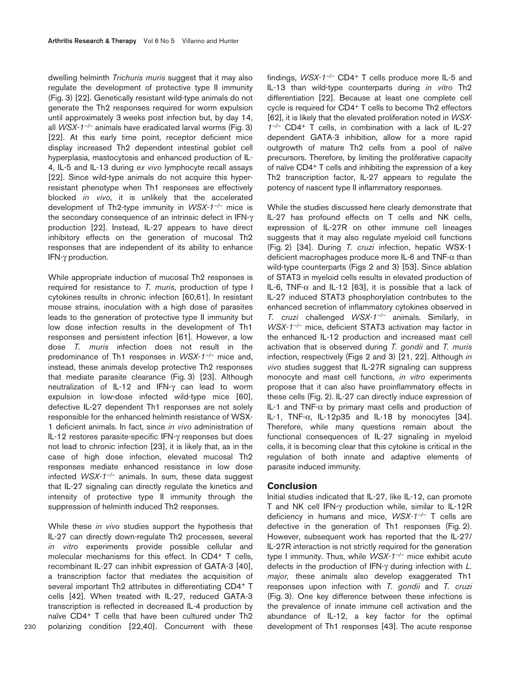dwelling helminth *Trichuris muris* suggest that it may also regulate the development of protective type II immunity (Fig. 3) [22]. Genetically resistant wild-type animals do not generate the Th2 responses required for worm expulsion until approximately 3 weeks post infection but, by day 14, all *WSX-1–/–* animals have eradicated larval worms (Fig. 3) [22]. At this early time point, receptor deficient mice display increased Th2 dependent intestinal goblet cell hyperplasia, mastocytosis and enhanced production of IL-4, IL-5 and IL-13 during *ex vivo* lymphocyte recall assays [22]. Since wild-type animals do not acquire this hyperresistant phenotype when Th1 responses are effectively blocked *in vivo*, it is unlikely that the accelerated development of Th2-type immunity in *WSX-1–/–* mice is the secondary consequence of an intrinsic defect in IFN-γ production [22]. Instead, IL-27 appears to have direct inhibitory effects on the generation of mucosal Th2 responses that are independent of its ability to enhance IFN-γ production.

While appropriate induction of mucosal Th2 responses is required for resistance to *T. muris*, production of type I cytokines results in chronic infection [60,61]. In resistant mouse strains, inoculation with a high dose of parasites leads to the generation of protective type II immunity but low dose infection results in the development of Th1 responses and persistent infection [61]. However, a low dose *T. muris* infection does not result in the predominance of Th1 responses in *WSX-1–/–* mice and, instead, these animals develop protective Th2 responses that mediate parasite clearance (Fig. 3) [23]. Although neutralization of IL-12 and IFN-γ can lead to worm expulsion in low-dose infected wild-type mice [60], defective IL-27 dependent Th1 responses are not solely responsible for the enhanced helminth resistance of WSX-1 deficient animals. In fact, since *in vivo* administration of IL-12 restores parasite-specific IFN-γ responses but does not lead to chronic infection [23], it is likely that, as in the case of high dose infection, elevated mucosal Th2 responses mediate enhanced resistance in low dose infected *WSX-1–/–* animals. In sum, these data suggest that IL-27 signaling can directly regulate the kinetics and intensity of protective type II immunity through the suppression of helminth induced Th2 responses.

While these *in vivo* studies support the hypothesis that IL-27 can directly down-regulate Th2 processes, several *in vitro* experiments provide possible cellular and molecular mechanisms for this effect. In CD4<sup>+</sup> T cells, recombinant IL-27 can inhibit expression of GATA-3 [40], a transcription factor that mediates the acquisition of several important Th2 attributes in differentiating CD4+ T cells [42]. When treated with IL-27, reduced GATA-3 transcription is reflected in decreased IL-4 production by naïve CD4+ T cells that have been cultured under Th2 polarizing condition [22,40]. Concurrent with these

findings, *WSX-1–/–* CD4+ T cells produce more IL-5 and IL-13 than wild-type counterparts during *in vitro* Th2 differentiation [22]. Because at least one complete cell cycle is required for CD4+ T cells to become Th2 effectors [62], it is likely that the elevated proliferation noted in *WSX-1–/–* CD4+ T cells, in combination with a lack of IL-27 dependent GATA-3 inhibition, allow for a more rapid outgrowth of mature Th2 cells from a pool of naïve precursors. Therefore, by limiting the proliferative capacity of naïve CD4+ T cells and inhibiting the expression of a key Th2 transcription factor, IL-27 appears to regulate the potency of nascent type II inflammatory responses.

While the studies discussed here clearly demonstrate that IL-27 has profound effects on T cells and NK cells, expression of IL-27R on other immune cell lineages suggests that it may also regulate myeloid cell functions (Fig. 2) [34]. During *T. cruzi* infection, hepatic WSX-1 deficient macrophages produce more IL-6 and TNF-α than wild-type counterparts (Figs 2 and 3) [53]. Since ablation of STAT3 in myeloid cells results in elevated production of IL-6, TNF- $\alpha$  and IL-12 [63], it is possible that a lack of IL-27 induced STAT3 phosphorylation contributes to the enhanced secretion of inflammatory cytokines observed in *T. cruzi* challenged *WSX-1–/–* animals. Similarly, in *WSX-1–/–* mice, deficient STAT3 activation may factor in the enhanced IL-12 production and increased mast cell activation that is observed during *T. gondii* and *T. muris* infection, respectively (Figs 2 and 3) [21, 22]. Although *in vivo* studies suggest that IL-27R signaling can suppress monocyte and mast cell functions*, in vitro* experiments propose that it can also have proinflammatory effects in these cells (Fig. 2). IL-27 can directly induce expression of IL-1 and TNF- $\alpha$  by primary mast cells and production of IL-1, TNF- $\alpha$ , IL-12p35 and IL-18 by monocytes [34]. Therefore, while many questions remain about the functional consequences of IL-27 signaling in myeloid cells, it is becoming clear that this cytokine is critical in the regulation of both innate and adaptive elements of parasite induced immunity.

#### **Conclusion**

Initial studies indicated that IL-27, like IL-12, can promote T and NK cell IFN-γ production while, similar to IL-12R deficiency in humans and mice, *WSX-1–/–* T cells are defective in the generation of Th1 responses (Fig. 2). However, subsequent work has reported that the IL-27/ IL-27R interaction is not strictly required for the generation type I immunity. Thus, while *WSX-1–/–* mice exhibit acute defects in the production of IFN-γ during infection with *L. major,* these animals also develop exaggerated Th1 responses upon infection with *T. gondii* and *T. cruzi* (Fig. 3). One key difference between these infections is the prevalence of innate immune cell activation and the abundance of IL-12, a key factor for the optimal development of Th1 responses [43]. The acute response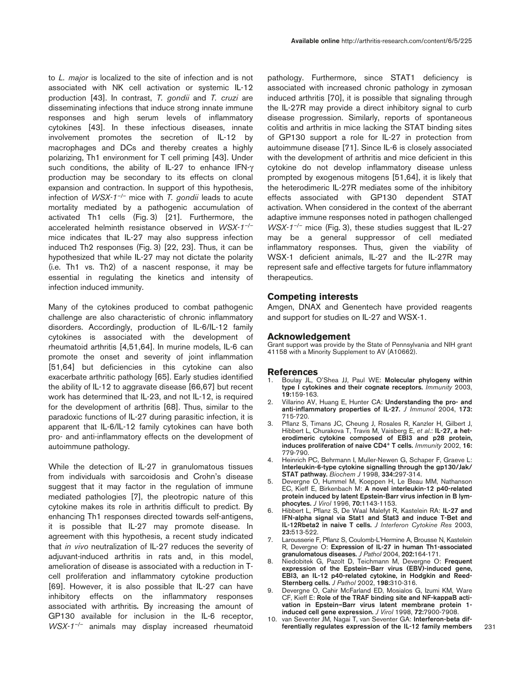to *L. major* is localized to the site of infection and is not associated with NK cell activation or systemic IL-12 production [43]. In contrast, *T. gondii* and *T. cruzi* are disseminating infections that induce strong innate immune responses and high serum levels of inflammatory cytokines [43]. In these infectious diseases, innate involvement promotes the secretion of IL-12 by macrophages and DCs and thereby creates a highly polarizing, Th1 environment for T cell priming [43]. Under such conditions, the ability of IL-27 to enhance IFN-γ production may be secondary to its effects on clonal expansion and contraction. In support of this hypothesis, infection of *WSX-1–/–* mice with *T. gondii* leads to acute mortality mediated by a pathogenic accumulation of activated Th1 cells (Fig. 3) [21]. Furthermore, the accelerated helminth resistance observed in *WSX-1–/–* mice indicates that IL-27 may also suppress infection induced Th2 responses (Fig. 3) [22, 23]. Thus, it can be hypothesized that while IL-27 may not dictate the polarity (i.e. Th1 vs. Th2) of a nascent response, it may be essential in regulating the kinetics and intensity of infection induced immunity.

Many of the cytokines produced to combat pathogenic challenge are also characteristic of chronic inflammatory disorders. Accordingly, production of IL-6/IL-12 family cytokines is associated with the development of rheumatoid arthritis [4,51,64]. In murine models, IL-6 can promote the onset and severity of joint inflammation [51,64] but deficiencies in this cytokine can also exacerbate arthritic pathology [65]. Early studies identified the ability of IL-12 to aggravate disease [66,67] but recent work has determined that IL-23, and not IL-12, is required for the development of arthritis [68]. Thus, similar to the paradoxic functions of IL-27 during parasitic infection, it is apparent that IL-6/IL-12 family cytokines can have both pro- and anti-inflammatory effects on the development of autoimmune pathology.

While the detection of IL-27 in granulomatous tissues from individuals with sarcoidosis and Crohn's disease suggest that it may factor in the regulation of immune mediated pathologies [7], the pleotropic nature of this cytokine makes its role in arthritis difficult to predict. By enhancing Th1 responses directed towards self-antigens, it is possible that IL-27 may promote disease. In agreement with this hypothesis, a recent study indicated that *in vivo* neutralization of IL-27 reduces the severity of adjuvant-induced arthritis in rats and, in this model, amelioration of disease is associated with a reduction in Tcell proliferation and inflammatory cytokine production [69]. However, it is also possible that IL-27 can have inhibitory effects on the inflammatory responses associated with arthritis**.** By increasing the amount of GP130 available for inclusion in the IL-6 receptor, *WSX-1–/–* animals may display increased rheumatoid pathology. Furthermore, since STAT1 deficiency is associated with increased chronic pathology in zymosan induced arthritis [70], it is possible that signaling through the IL-27R may provide a direct inhibitory signal to curb disease progression. Similarly, reports of spontaneous colitis and arthritis in mice lacking the STAT binding sites of GP130 support a role for IL-27 in protection from autoimmune disease [71]. Since IL-6 is closely associated with the development of arthritis and mice deficient in this cytokine do not develop inflammatory disease unless prompted by exogenous mitogens [51,64], it is likely that the heterodimeric IL-27R mediates some of the inhibitory effects associated with GP130 dependent STAT activation. When considered in the context of the aberrant adaptive immune responses noted in pathogen challenged *WSX-1<sup>-/-</sup>* mice (Fig. 3), these studies suggest that IL-27 may be a general suppressor of cell mediated inflammatory responses. Thus, given the viability of WSX-1 deficient animals, IL-27 and the IL-27R may represent safe and effective targets for future inflammatory therapeutics.

## **Competing interests**

Amgen, DNAX and Genentech have provided reagents and support for studies on IL-27 and WSX-1.

#### **Acknowledgement**

Grant support was provide by the State of Pennsylvania and NIH grant 41158 with a Minority Supplement to AV (A10662).

#### **References**

- 1. Boulay JL, O'Shea JJ, Paul WE: **Molecular phylogeny within type I cytokines and their cognate receptors.** *Immunity* 2003, **19:**159-163.
- 2. Villarino AV, Huang E, Hunter CA: **Understanding the pro- and anti-inflammatory properties of IL-27.** *J Immunol* 2004, **173:** 715-720.
- 3. Pflanz S, Timans JC, Cheung J, Rosales R, Kanzler H, Gilbert J, Hibbert L, Churakova T, Travis M, Vaisberg E, *et al*.: **IL-27, a heterodimeric cytokine composed of EBI3 and p28 protein, induces proliferation of naive CD4+ T cells.** *Immunity* 2002, **16:** 779-790.
- 4. Heinrich PC, Behrmann I, Muller-Newen G, Schaper F, Graeve L: **Interleukin-6-type cytokine signalling through the gp130/Jak/ STAT pathway.** *Biochem J* 1998, **334:**297-314.
- 5. Devergne O, Hummel M, Koeppen H, Le Beau MM, Nathanson EC, Kieff E, Birkenbach M: **A novel interleukin-12 p40-related protein induced by latent Epstein-Barr virus infection in B lymphocytes.** *J Virol* 1996, **70:**1143-1153.
- 6. Hibbert L, Pflanz S, De Waal Malefyt R, Kastelein RA: **IL-27 and IFN-alpha signal via Stat1 and Stat3 and induce T-Bet and IL-12Rbeta2 in naive T cells.** *J Interferon Cytokine Res* 2003, **23:**513-522.
- 7. Larousserie F, Pflanz S, Coulomb-L'Hermine A, Brousse N, Kastelein R, Devergne O: **Expression of IL-27 in human Th1-associated granulomatous diseases.** *J Pathol* 2004, **202:**164-171.
- 8. Niedobitek G, Pazolt D, Teichmann M, Devergne O: **Frequent expression of the Epstein–Barr virus (EBV)-induced gene, EBI3, an IL-12 p40-related cytokine, in Hodgkin and Reed-Sternberg cells.** *J Pathol* 2002, **198:**310-316.
- 9. Devergne O, Cahir McFarland ED, Mosialos G, Izumi KM, Ware CF, Kieff E: **Role of the TRAF binding site and NF-kappaB activation in Epstein–Barr virus latent membrane protein 1 induced cell gene expression.** *J Virol* 1998, **72:**7900-7908.
- 10. van Seventer JM, Nagai T, van Seventer GA: **Interferon-beta differentially regulates expression of the IL-12 family members**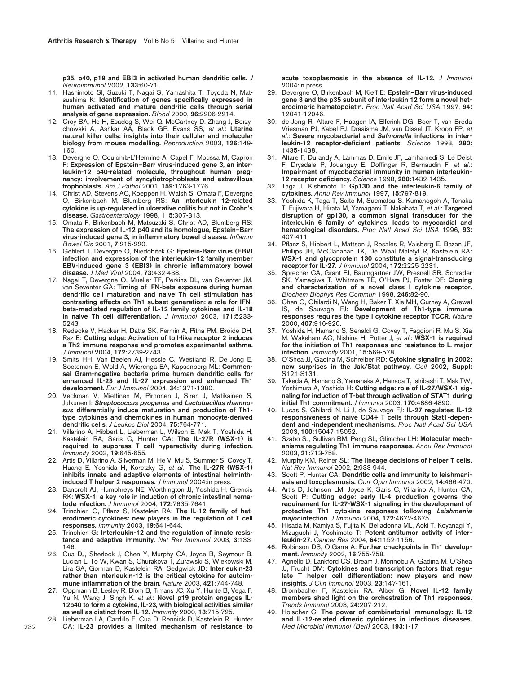**p35, p40, p19 and EBI3 in activated human dendritic cells.** *J Neuroimmunol* 2002, **133:**60-71.

- 11. Hashimoto SI, Suzuki T, Nagai S, Yamashita T, Toyoda N, Matsushima K: **Identification of genes specifically expressed in human activated and mature dendritic cells through serial analysis of gene expression.** *Blood* 2000, **96:**2206-2214.
- 12. Croy BA, He H, Esadeg S, Wei Q, McCartney D, Zhang J, Borzychowski A, Ashkar AA, Black GP, Evans SS, *et al*.: **Uterine natural killer cells: insights into their cellular and molecular biology from mouse modelling.** *Reproduction* 2003, **126:**149- 160.
- 13. Devergne O, Coulomb-L'Hermine A, Capel F, Moussa M, Capron F: **Expression of Epstein–Barr virus-induced gene 3, an interleukin-12 p40-related molecule, throughout human pregnancy: involvement of syncytiotrophoblasts and extravillous trophoblasts.** *Am J Pathol* 2001, **159:**1763-1776.
- 14. Christ AD, Stevens AC, Koeppen H, Walsh S, Omata F, Devergne O, Birkenbach M, Blumberg RS: **An interleukin 12-related cytokine is up-regulated in ulcerative colitis but not in Crohn's disease.** *Gastroenterology* 1998, **115:**307-313.
- 15. Omata F, Birkenbach M, Matsuzaki S, Christ AD, Blumberg RS: **The expression of IL-12 p40 and its homologue, Epstein–Barr virus-induced gene 3, in inflammatory bowel disease.** *Inflamm Bowel Dis* 2001, **7:**215-220.
- 16. Gehlert T, Devergne O, Niedobitek G: **Epstein-Barr virus (EBV) infection and expression of the interleukin-12 family member EBV-induced gene 3 (EBI3) in chronic inflammatory bowel disease.** *J Med Virol* 2004, **73:**432-438.
- 17. Nagai T, Devergne O, Mueller TF, Perkins DL, van Seventer JM, van Seventer GA: **Timing of IFN-beta exposure during human dendritic cell maturation and naive Th cell stimulation has contrasting effects on Th1 subset generation: a role for IFNbeta-mediated regulation of IL-12 family cytokines and IL-18 in naive Th cell differentiation.** *J Immunol* 2003, **171:**5233- 5243.
- 18. Redecke V, Hacker H, Datta SK, Fermin A, Pitha PM, Broide DH, Raz E: **Cutting edge: Activation of toll-like receptor 2 induces a Th2 immune response and promotes experimental asthma.** *J Immunol* 2004, **172:**2739-2743.
- 19. Smits HH, Van Beelen AJ, Hessle C, Westland R, De Jong E, Soeteman E, Wold A, Wierenga EA, Kapsenberg ML: **Commensal Gram-negative bacteria prime human dendritic cells for enhanced IL-23 and IL-27 expression and enhanced Th1 development.** *Eur J Immunol* 2004, **34:**1371-1380.
- 20. Veckman V, Miettinen M, Pirhonen J, Siren J, Matikainen S, Julkunen I: *Streptococcus pyogenes* **and** *Lactobacillus rhamnosus* **differentially induce maturation and production of Th1 type cytokines and chemokines in human monocyte-derived dendritic cells.** *J Leukoc Biol* 2004, **75:**764-771.
- 21. Villarino A, Hibbert L, Lieberman L, Wilson E, Mak T, Yoshida H, Kastelein RA, Saris C, Hunter CA: **The IL-27R (WSX-1) is required to suppress T cell hyperactivity during infection.** *Immunity* 2003, **19:**645-655.
- 22. Artis D, Villarino A, Silverman M, He V, Mu S, Summer S, Covey T, Huang E, Yoshida H, Koretzky G, *et al*.: **The IL-27R (WSX-1) inhibits innate and adaptive elements of intestinal helminthinduced T helper 2 responses.** *J Immunol* 2004:in press.
- 23. Bancroft AJ, Humphreys NE, Worthington JJ, Yoshida H, Grencis RK: **WSX-1: a key role in induction of chronic intestinal nematode infection.** *J Immunol* 2004, **172:**7635-7641.
- 24. Trinchieri G, Pflanz S, Kastelein RA: **The IL-12 family of heterodimeric cytokines: new players in the regulation of T cell responses.** *Immunity* 2003, **19:**641-644.
- 25. Trinchieri G: **Interleukin-12 and the regulation of innate resistance and adaptive immunity.** *Nat Rev Immunol* 2003, **3:**133- 146.
- 26. Cua DJ, Sherlock J, Chen Y, Murphy CA, Joyce B, Seymour B, Lucian L, To W, Kwan S, Churakova T, Zurawski S, Wiekowski M, Lira SA, Gorman D, Kastelein RA, Sedgwick JD: **Interleukin-23 rather than interleukin-12 is the critical cytokine for autoimmune inflammation of the brain.** *Nature* 2003, **421:**744-748.
- 27. Oppmann B, Lesley R, Blom B, Timans JC, Xu Y, Hunte B, Vega F, Yu N, Wang J, Singh K, *et al*.: **Novel p19 protein engages IL-12p40 to form a cytokine, IL-23, with biological activities similar as well as distinct from IL-12.** *Immunity* 2000, **13:**715-725.
- 28. Lieberman LA, Cardillo F, Cua D, Rennick D, Kastelein R, Hunter CA: **IL-23 provides a limited mechanism of resistance to**

**acute toxoplasmosis in the absence of IL-12.** *J Immunol* 2004:in press.

- 29. Devergne O, Birkenbach M, Kieff E: **Epstein–Barr virus-induced gene 3 and the p35 subunit of interleukin 12 form a novel heterodimeric hematopoietin.** *Proc Natl Acad Sci USA* 1997, **94:** 12041-12046.
- 30. de Jong R, Altare F, Haagen IA, Elferink DG, Boer T, van Breda Vriesman PJ, Kabel PJ, Draaisma JM, van Dissel JT, Kroon FP, *et al*.: **Severe mycobacterial and** *Salmonella* **infections in interleukin-12 receptor-deficient patients.** *Science* 1998, **280:** 1435-1438.
- 31. Altare F, Durandy A, Lammas D, Emile JF, Lamhamedi S, Le Deist F, Drysdale P, Jouanguy E, Doffinger R, Bernaudin F, *et al*.: **Impairment of mycobacterial immunity in human interleukin-12 receptor deficiency.** *Science* 1998, **280:**1432-1435.
- 32. Taga T, Kishimoto T: **Gp130 and the interleukin-6 family of cytokines.** *Annu Rev Immunol* 1997, **15:**797-819.
- 33. Yoshida K, Taga T, Saito M, Suematsu S, Kumanogoh A, Tanaka T, Fujiwara H, Hirata M, Yamagami T, Nakahata T, *et al*.: **Targeted disruption of gp130, a common signal transducer for the interleukin 6 family of cytokines, leads to myocardial and hematological disorders.** *Proc Natl Acad Sci USA* 1996, **93:** 407-411.
- 34. Pflanz S, Hibbert L, Mattson J, Rosales R, Vaisberg E, Bazan JF, Phillips JH, McClanahan TK, De Waal Malefyt R, Kastelein RA: **WSX-1 and glycoprotein 130 constitute a signal-transducing receptor for IL-27.** *J Immunol* 2004, **172:**2225-2231.
- 35. Sprecher CA, Grant FJ, Baumgartner JW, Presnell SR, Schrader SK, Yamagiwa T, Whitmore TE, O'Hara PJ, Foster DF: **Cloning and characterization of a novel class I cytokine receptor.** *Biochem Biophys Res Commun* 1998, **246:**82-90.
- 36. Chen Q, Ghilardi N, Wang H, Baker T, Xie MH, Gurney A, Grewal IS, de Sauvage FJ: **Development of Th1-type immune responses requires the type I cytokine receptor TCCR.** *Nature* 2000, **407:**916-920.
- 37. Yoshida H, Hamano S, Senaldi G, Covey T, Faggioni R, Mu S, Xia M, Wakeham AC, Nishina H, Potter J, *et al*.: **WSX-1 is required for the initiation of Th1 responses and resistance to L. major infection.** *Immunity* 2001, **15:**569-578.
- 38. O'Shea JJ, Gadina M, Schreiber RD: **Cytokine signaling in 2002: new surprises in the Jak/Stat pathway.** *Cell* 2002, **Suppl:** S121-S131.
- 39. Takeda A, Hamano S, Yamanaka A, Hanada T, Ishibashi T, Mak TW, Yoshimura A, Yoshida H: **Cutting edge: role of IL-27/WSX-1 signaling for induction of T-bet through activation of STAT1 during initial Th1 commitment.** *J Immunol* 2003, **170:**4886-4890.
- 40. Lucas S, Ghilardi N, Li J, de Sauvage FJ: **IL-27 regulates IL-12 responsiveness of naive CD4+ T cells through Stat1-dependent and -independent mechanisms.** *Proc Natl Acad Sci USA* 2003, **100:**15047-15052.
- Szabo SJ, Sullivan BM, Peng SL, Glimcher LH: Molecular mech**anisms regulating Th1 immune responses.** *Annu Rev Immunol* 2003, **21:**713-758.
- 42. Murphy KM, Reiner SL: **The lineage decisions of helper T cells.** *Nat Rev Immunol* 2002, **2:**933-944.
- 43. Scott P, Hunter CA: **Dendritic cells and immunity to leishmaniasis and toxoplasmosis.** *Curr Opin Immunol* 2002, **14:**466-470.
- 44. Artis D, Johnson LM, Joyce K, Saris C, Villarino A, Hunter CA, Scott P: **Cutting edge: early IL-4 production governs the requirement for IL-27-WSX-1 signaling in the development of protective Th1 cytokine responses following** *Leishmania major* **infection**. *J Immunol* 2004, **172:**4672-4675.
- 45. Hisada M, Kamiya S, Fujita K, Belladonna ML, Aoki T, Koyanagi Y, Mizuguchi J, Yoshimoto T: **Potent antitumor activity of interleukin-27.** *Cancer Res* 2004, **64:**1152-1156.
- 46. Robinson DS, O'Garra A: **Further checkpoints in Th1 development.** *Immunity* 2002, **16:**755-758.
- 47. Agnello D, Lankford CS, Bream J, Morinobu A, Gadina M, O'Shea JJ, Frucht DM: **Cytokines and transcription factors that regulate T helper cell differentiation: new players and new insights.** *J Clin Immunol* 2003, **23:**147-161.
- 48. Brombacher F, Kastelein RA, Alber G: **Novel IL-12 family members shed light on the orchestration of Th1 responses.** *Trends Immunol* 2003, **24:**207-212.
- 49. Holscher C: **The power of combinatorial immunology: IL-12 and IL-12-related dimeric cytokines in infectious diseases.** *Med Microbiol Immunol (Berl)* 2003, **193:**1-17.